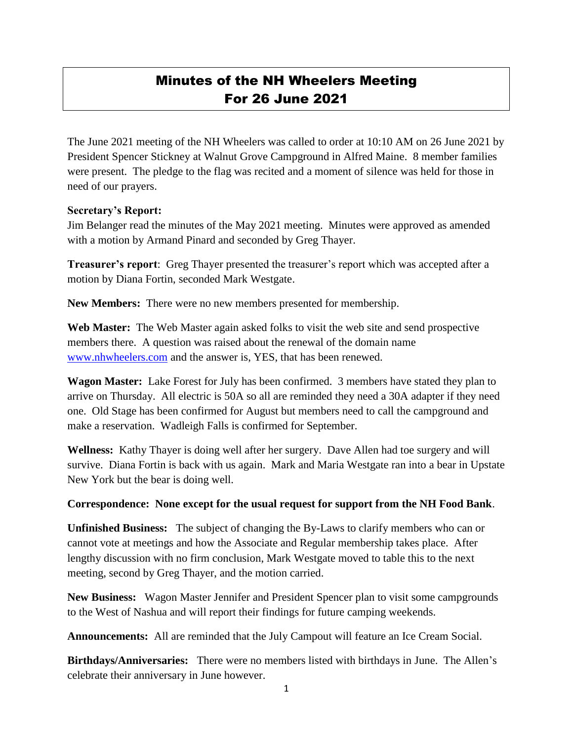## Minutes of the NH Wheelers Meeting For 26 June 2021

The June 2021 meeting of the NH Wheelers was called to order at 10:10 AM on 26 June 2021 by President Spencer Stickney at Walnut Grove Campground in Alfred Maine. 8 member families were present. The pledge to the flag was recited and a moment of silence was held for those in need of our prayers.

## **Secretary's Report:**

Jim Belanger read the minutes of the May 2021 meeting. Minutes were approved as amended with a motion by Armand Pinard and seconded by Greg Thayer.

**Treasurer's report**: Greg Thayer presented the treasurer's report which was accepted after a motion by Diana Fortin, seconded Mark Westgate.

**New Members:** There were no new members presented for membership.

Web Master: The Web Master again asked folks to visit the web site and send prospective members there. A question was raised about the renewal of the domain name [www.nhwheelers.com](http://www.nhwheelers.com/) and the answer is, YES, that has been renewed.

**Wagon Master:** Lake Forest for July has been confirmed. 3 members have stated they plan to arrive on Thursday. All electric is 50A so all are reminded they need a 30A adapter if they need one. Old Stage has been confirmed for August but members need to call the campground and make a reservation. Wadleigh Falls is confirmed for September.

**Wellness:** Kathy Thayer is doing well after her surgery. Dave Allen had toe surgery and will survive. Diana Fortin is back with us again. Mark and Maria Westgate ran into a bear in Upstate New York but the bear is doing well.

## **Correspondence: None except for the usual request for support from the NH Food Bank**.

**Unfinished Business:** The subject of changing the By-Laws to clarify members who can or cannot vote at meetings and how the Associate and Regular membership takes place. After lengthy discussion with no firm conclusion, Mark Westgate moved to table this to the next meeting, second by Greg Thayer, and the motion carried.

**New Business:** Wagon Master Jennifer and President Spencer plan to visit some campgrounds to the West of Nashua and will report their findings for future camping weekends.

**Announcements:** All are reminded that the July Campout will feature an Ice Cream Social.

**Birthdays/Anniversaries:** There were no members listed with birthdays in June. The Allen's celebrate their anniversary in June however.